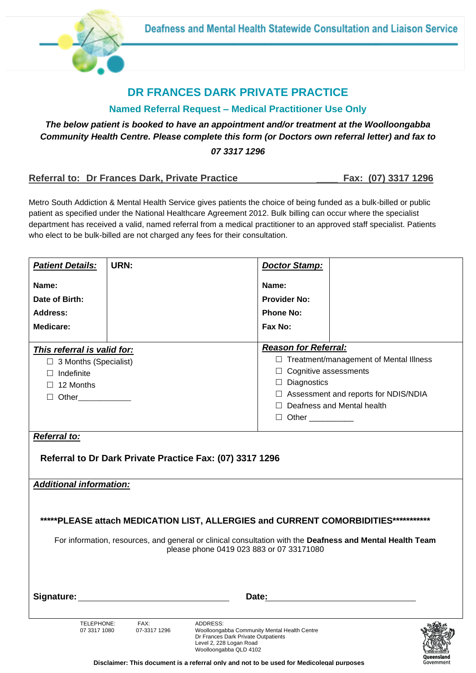

## **DR FRANCES DARK PRIVATE PRACTICE**

#### **Named Referral Request – Medical Practitioner Use Only**

### *The below patient is booked to have an appointment and/or treatment at the Woolloongabba Community Health Centre. Please complete this form (or Doctors own referral letter) and fax to 07 3317 1296*

#### **Referral to: Dr Frances Dark, Private Practice \_\_\_\_ Fax: (07) 3317 1296**

 $200$ Oueensland

Metro South Addiction & Mental Health Service gives patients the choice of being funded as a bulk-billed or public patient as specified under the National Healthcare Agreement 2012. Bulk billing can occur where the specialist department has received a valid, named referral from a medical practitioner to an approved staff specialist. Patients who elect to be bulk-billed are not charged any fees for their consultation.

| <b>Patient Details:</b>                                                                                                                               | URN:                 | <b>Doctor Stamp:</b>                                                                                                                                 |                                               |  |  |  |
|-------------------------------------------------------------------------------------------------------------------------------------------------------|----------------------|------------------------------------------------------------------------------------------------------------------------------------------------------|-----------------------------------------------|--|--|--|
| Name:                                                                                                                                                 |                      | Name:                                                                                                                                                |                                               |  |  |  |
| Date of Birth:                                                                                                                                        |                      | <b>Provider No:</b>                                                                                                                                  |                                               |  |  |  |
| Address:                                                                                                                                              |                      | <b>Phone No:</b>                                                                                                                                     |                                               |  |  |  |
| <b>Medicare:</b>                                                                                                                                      |                      | Fax No:                                                                                                                                              |                                               |  |  |  |
| This referral is valid for:                                                                                                                           |                      |                                                                                                                                                      | <b>Reason for Referral:</b>                   |  |  |  |
| $\Box$ 3 Months (Specialist)                                                                                                                          |                      |                                                                                                                                                      | $\Box$ Treatment/management of Mental Illness |  |  |  |
| $\Box$ Indefinite                                                                                                                                     |                      |                                                                                                                                                      | $\Box$ Cognitive assessments                  |  |  |  |
| $\Box$ 12 Months                                                                                                                                      |                      |                                                                                                                                                      | $\Box$ Diagnostics                            |  |  |  |
|                                                                                                                                                       |                      |                                                                                                                                                      | □ Assessment and reports for NDIS/NDIA        |  |  |  |
|                                                                                                                                                       |                      | $\Box$ Deafness and Mental health                                                                                                                    |                                               |  |  |  |
|                                                                                                                                                       |                      |                                                                                                                                                      |                                               |  |  |  |
| <b>Referral to:</b>                                                                                                                                   |                      |                                                                                                                                                      |                                               |  |  |  |
| Referral to Dr Dark Private Practice Fax: (07) 3317 1296                                                                                              |                      |                                                                                                                                                      |                                               |  |  |  |
| <b>Additional information:</b>                                                                                                                        |                      |                                                                                                                                                      |                                               |  |  |  |
|                                                                                                                                                       |                      |                                                                                                                                                      |                                               |  |  |  |
| *****PLEASE attach MEDICATION LIST, ALLERGIES and CURRENT COMORBIDITIES************                                                                   |                      |                                                                                                                                                      |                                               |  |  |  |
|                                                                                                                                                       |                      |                                                                                                                                                      |                                               |  |  |  |
| For information, resources, and general or clinical consultation with the Deafness and Mental Health Team<br>please phone 0419 023 883 or 07 33171080 |                      |                                                                                                                                                      |                                               |  |  |  |
|                                                                                                                                                       |                      |                                                                                                                                                      |                                               |  |  |  |
|                                                                                                                                                       |                      | Date:                                                                                                                                                |                                               |  |  |  |
| TELEPHONE:<br>07 3317 1080                                                                                                                            | FAX:<br>07-3317 1296 | ADDRESS:<br>Woolloongabba Community Mental Health Centre<br>Dr Frances Dark Private Outpatients<br>Level 2, 228 Logan Road<br>Woolloongabba OLD 4102 |                                               |  |  |  |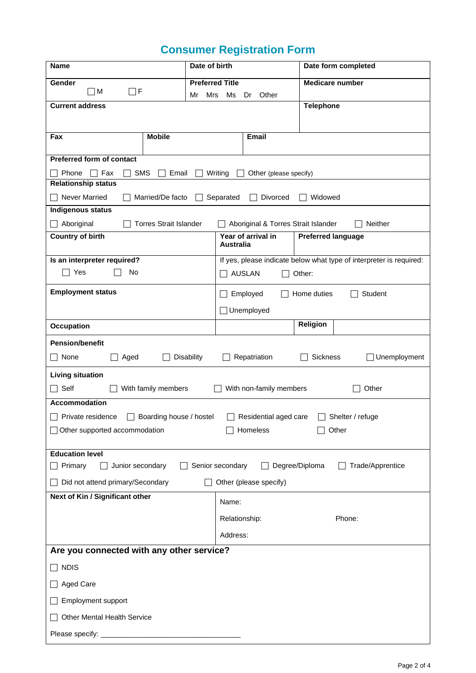# **Consumer Registration Form**

| <b>Name</b>                                                                                                        |                               | Date of birth           |                         | Date form completed                                       |                                                                     |              |
|--------------------------------------------------------------------------------------------------------------------|-------------------------------|-------------------------|-------------------------|-----------------------------------------------------------|---------------------------------------------------------------------|--------------|
| Gender                                                                                                             |                               |                         | <b>Preferred Title</b>  |                                                           | <b>Medicare number</b>                                              |              |
| $\Box$ F<br>$\Box$ M<br>Mr                                                                                         |                               | Mrs                     | Ms<br>Other<br>Dr       |                                                           |                                                                     |              |
| <b>Current address</b>                                                                                             |                               |                         |                         |                                                           | <b>Telephone</b>                                                    |              |
|                                                                                                                    |                               |                         |                         |                                                           |                                                                     |              |
| Fax                                                                                                                | <b>Mobile</b>                 |                         |                         | <b>Email</b>                                              |                                                                     |              |
| <b>Preferred form of contact</b>                                                                                   |                               |                         |                         |                                                           |                                                                     |              |
| <b>SMS</b><br>Phone<br>Fax                                                                                         | Email                         |                         | Writing                 | Other (please specify)                                    |                                                                     |              |
| <b>Relationship status</b>                                                                                         |                               |                         |                         |                                                           |                                                                     |              |
| <b>Never Married</b>                                                                                               | Married/De facto              |                         | Separated               | Divorced                                                  | Widowed                                                             |              |
| <b>Indigenous status</b>                                                                                           | <b>Torres Strait Islander</b> |                         |                         |                                                           | Neither                                                             |              |
| $\Box$ Aboriginal<br><b>Country of birth</b>                                                                       |                               |                         |                         | Aboriginal & Torres Strait Islander<br>Year of arrival in | <b>Preferred language</b>                                           |              |
|                                                                                                                    |                               |                         |                         | <b>Australia</b>                                          |                                                                     |              |
| Is an interpreter required?                                                                                        |                               |                         |                         |                                                           | If yes, please indicate below what type of interpreter is required: |              |
| Yes<br>No                                                                                                          |                               |                         | <b>AUSLAN</b><br>Other: |                                                           |                                                                     |              |
| <b>Employment status</b><br>Employed<br>Home duties<br>Student<br>$\Box$                                           |                               |                         |                         |                                                           |                                                                     |              |
|                                                                                                                    |                               |                         | Unemployed              |                                                           |                                                                     |              |
| <b>Occupation</b>                                                                                                  |                               |                         |                         |                                                           | <b>Religion</b>                                                     |              |
| <b>Pension/benefit</b>                                                                                             |                               |                         |                         |                                                           |                                                                     |              |
| None<br>Aged                                                                                                       |                               | <b>Disability</b>       |                         | Repatriation                                              | Sickness                                                            | Unemployment |
| <b>Living situation</b>                                                                                            |                               |                         |                         |                                                           |                                                                     |              |
| $\Box$ Self                                                                                                        | With family members           |                         |                         | With non-family members                                   | Other                                                               |              |
| Accommodation                                                                                                      |                               |                         |                         |                                                           |                                                                     |              |
| Private residence                                                                                                  | Boarding house / hostel       |                         |                         | Residential aged care                                     | Shelter / refuge                                                    |              |
| □ Other supported accommodation<br>Homeless<br>Other                                                               |                               |                         |                         |                                                           |                                                                     |              |
| <b>Education level</b>                                                                                             |                               |                         |                         |                                                           |                                                                     |              |
| Senior secondary<br>Degree/Diploma<br>Trade/Apprentice<br>$\Box$ Primary<br>Junior secondary<br>$\perp$<br>$\perp$ |                               |                         |                         |                                                           |                                                                     |              |
| Did not attend primary/Secondary<br>Other (please specify)                                                         |                               |                         |                         |                                                           |                                                                     |              |
| Next of Kin / Significant other                                                                                    |                               |                         | Name:                   |                                                           |                                                                     |              |
|                                                                                                                    |                               | Phone:<br>Relationship: |                         |                                                           |                                                                     |              |
|                                                                                                                    |                               |                         | Address:                |                                                           |                                                                     |              |
| Are you connected with any other service?                                                                          |                               |                         |                         |                                                           |                                                                     |              |
| $\Box$ NDIS                                                                                                        |                               |                         |                         |                                                           |                                                                     |              |
| <b>Aged Care</b>                                                                                                   |                               |                         |                         |                                                           |                                                                     |              |
| Employment support                                                                                                 |                               |                         |                         |                                                           |                                                                     |              |
| <b>Other Mental Health Service</b>                                                                                 |                               |                         |                         |                                                           |                                                                     |              |
|                                                                                                                    |                               |                         |                         |                                                           |                                                                     |              |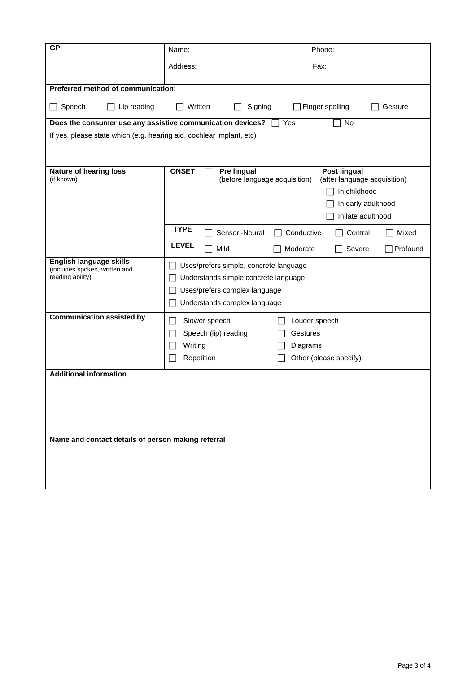| <b>GP</b>                                                               | Name:                                  | Phone:                                                                                              |  |  |  |  |  |
|-------------------------------------------------------------------------|----------------------------------------|-----------------------------------------------------------------------------------------------------|--|--|--|--|--|
|                                                                         | Address:                               | Fax:                                                                                                |  |  |  |  |  |
| Preferred method of communication:                                      |                                        |                                                                                                     |  |  |  |  |  |
|                                                                         |                                        |                                                                                                     |  |  |  |  |  |
| Speech<br>Lip reading                                                   |                                        | Written<br>Signing<br>Finger spelling<br>Gesture                                                    |  |  |  |  |  |
| No<br>Does the consumer use any assistive communication devices?<br>Yes |                                        |                                                                                                     |  |  |  |  |  |
| If yes, please state which (e.g. hearing aid, cochlear implant, etc)    |                                        |                                                                                                     |  |  |  |  |  |
|                                                                         |                                        |                                                                                                     |  |  |  |  |  |
| <b>Nature of hearing loss</b><br>(if known)                             | <b>ONSET</b>                           | Pre lingual<br><b>Post lingual</b><br>(before language acquisition)<br>(after language acquisition) |  |  |  |  |  |
|                                                                         |                                        | In childhood                                                                                        |  |  |  |  |  |
|                                                                         |                                        | In early adulthood                                                                                  |  |  |  |  |  |
|                                                                         |                                        | In late adulthood                                                                                   |  |  |  |  |  |
|                                                                         | <b>TYPE</b>                            | Sensori-Neural<br>Conductive<br>Mixed<br>Central                                                    |  |  |  |  |  |
|                                                                         | <b>LEVEL</b>                           | Mild<br>Moderate<br>Profound<br>Severe                                                              |  |  |  |  |  |
| English language skills<br>(includes spoken, written and                | Uses/prefers simple, concrete language |                                                                                                     |  |  |  |  |  |
| reading ability)                                                        |                                        | Understands simple concrete language                                                                |  |  |  |  |  |
|                                                                         | Uses/prefers complex language          |                                                                                                     |  |  |  |  |  |
|                                                                         | Understands complex language           |                                                                                                     |  |  |  |  |  |
| <b>Communication assisted by</b>                                        |                                        | Slower speech<br>Louder speech                                                                      |  |  |  |  |  |
|                                                                         |                                        | Speech (lip) reading<br>Gestures                                                                    |  |  |  |  |  |
|                                                                         | Writing                                | Diagrams                                                                                            |  |  |  |  |  |
|                                                                         |                                        | Repetition<br>Other (please specify):                                                               |  |  |  |  |  |
| <b>Additional information</b>                                           |                                        |                                                                                                     |  |  |  |  |  |
|                                                                         |                                        |                                                                                                     |  |  |  |  |  |
|                                                                         |                                        |                                                                                                     |  |  |  |  |  |
|                                                                         |                                        |                                                                                                     |  |  |  |  |  |
|                                                                         |                                        |                                                                                                     |  |  |  |  |  |
| Name and contact details of person making referral                      |                                        |                                                                                                     |  |  |  |  |  |
|                                                                         |                                        |                                                                                                     |  |  |  |  |  |
|                                                                         |                                        |                                                                                                     |  |  |  |  |  |
|                                                                         |                                        |                                                                                                     |  |  |  |  |  |